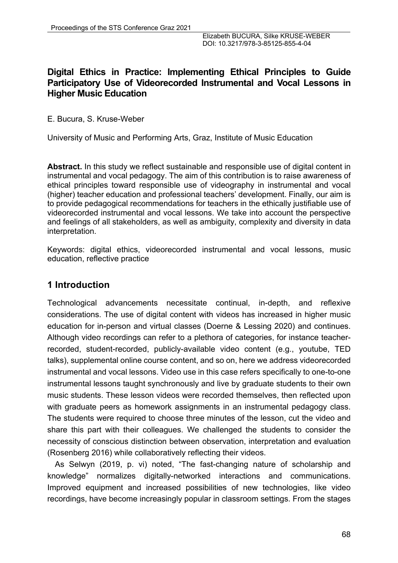## **Digital Ethics in Practice: Implementing Ethical Principles to Guide Participatory Use of Videorecorded Instrumental and Vocal Lessons in Higher Music Education**

E. Bucura, S. Kruse-Weber

University of Music and Performing Arts, Graz, Institute of Music Education

**Abstract.** In this study we reflect sustainable and responsible use of digital content in instrumental and vocal pedagogy. The aim of this contribution is to raise awareness of ethical principles toward responsible use of videography in instrumental and vocal (higher) teacher education and professional teachers' development. Finally, our aim is to provide pedagogical recommendations for teachers in the ethically justifiable use of videorecorded instrumental and vocal lessons. We take into account the perspective and feelings of all stakeholders, as well as ambiguity, complexity and diversity in data interpretation.

Keywords: digital ethics, videorecorded instrumental and vocal lessons, music education, reflective practice

# **1 Introduction**

Technological advancements necessitate continual, in-depth, and reflexive considerations. The use of digital content with videos has increased in higher music education for in-person and virtual classes (Doerne & Lessing 2020) and continues. Although video recordings can refer to a plethora of categories, for instance teacherrecorded, student-recorded, publicly-available video content (e.g., youtube, TED talks), supplemental online course content, and so on, here we address videorecorded instrumental and vocal lessons. Video use in this case refers specifically to one-to-one instrumental lessons taught synchronously and live by graduate students to their own music students. These lesson videos were recorded themselves, then reflected upon with graduate peers as homework assignments in an instrumental pedagogy class. The students were required to choose three minutes of the lesson, cut the video and share this part with their colleagues. We challenged the students to consider the necessity of conscious distinction between observation, interpretation and evaluation (Rosenberg 2016) while collaboratively reflecting their videos.

As Selwyn (2019, p. vi) noted, "The fast-changing nature of scholarship and knowledge" normalizes digitally-networked interactions and communications. Improved equipment and increased possibilities of new technologies, like video recordings, have become increasingly popular in classroom settings. From the stages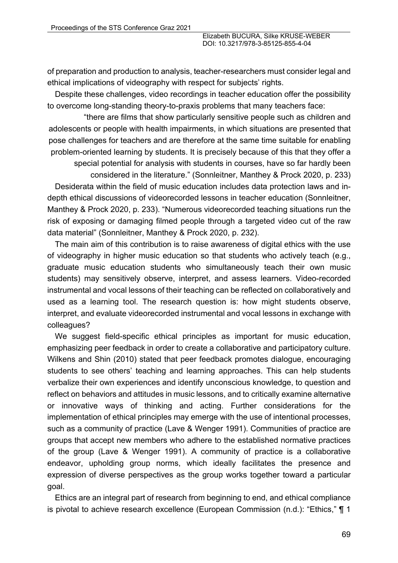of preparation and production to analysis, teacher-researchers must consider legal and ethical implications of videography with respect for subjects' rights.

Despite these challenges, video recordings in teacher education offer the possibility to overcome long-standing theory-to-praxis problems that many teachers face:

"there are films that show particularly sensitive people such as children and adolescents or people with health impairments, in which situations are presented that pose challenges for teachers and are therefore at the same time suitable for enabling problem-oriented learning by students. It is precisely because of this that they offer a

special potential for analysis with students in courses, have so far hardly been

considered in the literature." (Sonnleitner, Manthey & Prock 2020, p. 233) Desiderata within the field of music education includes data protection laws and indepth ethical discussions of videorecorded lessons in teacher education (Sonnleitner, Manthey & Prock 2020, p. 233). "Numerous videorecorded teaching situations run the risk of exposing or damaging filmed people through a targeted video cut of the raw data material" (Sonnleitner, Manthey & Prock 2020, p. 232).

The main aim of this contribution is to raise awareness of digital ethics with the use of videography in higher music education so that students who actively teach (e.g., graduate music education students who simultaneously teach their own music students) may sensitively observe, interpret, and assess learners. Video-recorded instrumental and vocal lessons of their teaching can be reflected on collaboratively and used as a learning tool. The research question is: how might students observe, interpret, and evaluate videorecorded instrumental and vocal lessons in exchange with colleagues?

We suggest field-specific ethical principles as important for music education, emphasizing peer feedback in order to create a collaborative and participatory culture. Wilkens and Shin (2010) stated that peer feedback promotes dialogue, encouraging students to see others' teaching and learning approaches. This can help students verbalize their own experiences and identify unconscious knowledge, to question and reflect on behaviors and attitudes in music lessons, and to critically examine alternative or innovative ways of thinking and acting. Further considerations for the implementation of ethical principles may emerge with the use of intentional processes, such as a community of practice (Lave & Wenger 1991). Communities of practice are groups that accept new members who adhere to the established normative practices of the group (Lave & Wenger 1991). A community of practice is a collaborative endeavor, upholding group norms, which ideally facilitates the presence and expression of diverse perspectives as the group works together toward a particular goal.

Ethics are an integral part of research from beginning to end, and ethical compliance is pivotal to achieve research excellence (European Commission (n.d.): "Ethics," ¶ 1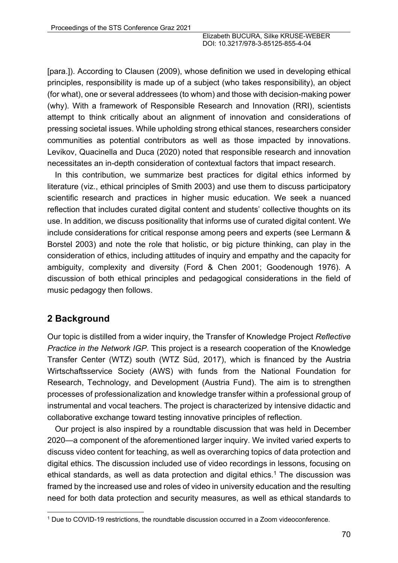[para.]). According to Clausen (2009), whose definition we used in developing ethical principles, responsibility is made up of a subject (who takes responsibility), an object (for what), one or several addressees (to whom) and those with decision-making power (why). With a framework of Responsible Research and Innovation (RRI), scientists attempt to think critically about an alignment of innovation and considerations of pressing societal issues. While upholding strong ethical stances, researchers consider communities as potential contributors as well as those impacted by innovations. Levikov, Quacinella and Duca (2020) noted that responsible research and innovation necessitates an in-depth consideration of contextual factors that impact research.

In this contribution, we summarize best practices for digital ethics informed by literature (viz., ethical principles of Smith 2003) and use them to discuss participatory scientific research and practices in higher music education. We seek a nuanced reflection that includes curated digital content and students' collective thoughts on its use. In addition, we discuss positionality that informs use of curated digital content. We include considerations for critical response among peers and experts (see Lermann & Borstel 2003) and note the role that holistic, or big picture thinking, can play in the consideration of ethics, including attitudes of inquiry and empathy and the capacity for ambiguity, complexity and diversity (Ford & Chen 2001; Goodenough 1976). A discussion of both ethical principles and pedagogical considerations in the field of music pedagogy then follows.

# **2 Background**

Our topic is distilled from a wider inquiry, the Transfer of Knowledge Project *Reflective Practice in the Network IGP.* This project is a research cooperation of the Knowledge Transfer Center (WTZ) south (WTZ Süd, 2017), which is financed by the Austria Wirtschaftsservice Society (AWS) with funds from the National Foundation for Research, Technology, and Development (Austria Fund). The aim is to strengthen processes of professionalization and knowledge transfer within a professional group of instrumental and vocal teachers. The project is characterized by intensive didactic and collaborative exchange toward testing innovative principles of reflection.

Our project is also inspired by a roundtable discussion that was held in December 2020—a component of the aforementioned larger inquiry. We invited varied experts to discuss video content for teaching, as well as overarching topics of data protection and digital ethics. The discussion included use of video recordings in lessons, focusing on ethical standards, as well as data protection and digital ethics.<sup>1</sup> The discussion was framed by the increased use and roles of video in university education and the resulting need for both data protection and security measures, as well as ethical standards to

<sup>1</sup> Due to COVID-19 restrictions, the roundtable discussion occurred in a Zoom videoconference.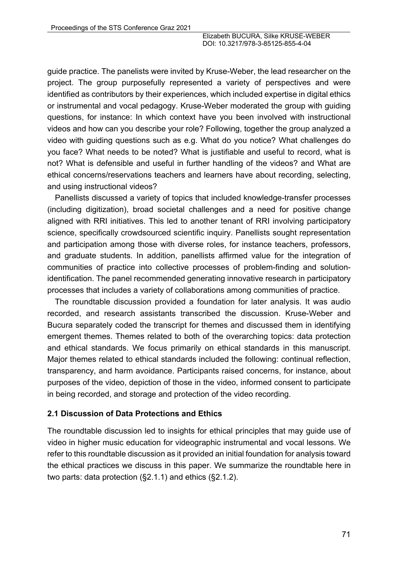guide practice. The panelists were invited by Kruse-Weber, the lead researcher on the project. The group purposefully represented a variety of perspectives and were identified as contributors by their experiences, which included expertise in digital ethics or instrumental and vocal pedagogy. Kruse-Weber moderated the group with guiding questions, for instance: In which context have you been involved with instructional videos and how can you describe your role? Following, together the group analyzed a video with guiding questions such as e.g. What do you notice? What challenges do you face? What needs to be noted? What is justifiable and useful to record, what is not? What is defensible and useful in further handling of the videos? and What are ethical concerns/reservations teachers and learners have about recording, selecting, and using instructional videos?

Panellists discussed a variety of topics that included knowledge-transfer processes (including digitization), broad societal challenges and a need for positive change aligned with RRI initiatives. This led to another tenant of RRI involving participatory science, specifically crowdsourced scientific inquiry. Panellists sought representation and participation among those with diverse roles, for instance teachers, professors, and graduate students. In addition, panellists affirmed value for the integration of communities of practice into collective processes of problem-finding and solutionidentification. The panel recommended generating innovative research in participatory processes that includes a variety of collaborations among communities of practice.

The roundtable discussion provided a foundation for later analysis. It was audio recorded, and research assistants transcribed the discussion. Kruse-Weber and Bucura separately coded the transcript for themes and discussed them in identifying emergent themes. Themes related to both of the overarching topics: data protection and ethical standards. We focus primarily on ethical standards in this manuscript. Major themes related to ethical standards included the following: continual reflection, transparency, and harm avoidance. Participants raised concerns, for instance, about purposes of the video, depiction of those in the video, informed consent to participate in being recorded, and storage and protection of the video recording.

### **2.1 Discussion of Data Protections and Ethics**

The roundtable discussion led to insights for ethical principles that may guide use of video in higher music education for videographic instrumental and vocal lessons. We refer to this roundtable discussion as it provided an initial foundation for analysis toward the ethical practices we discuss in this paper. We summarize the roundtable here in two parts: data protection (§2.1.1) and ethics (§2.1.2).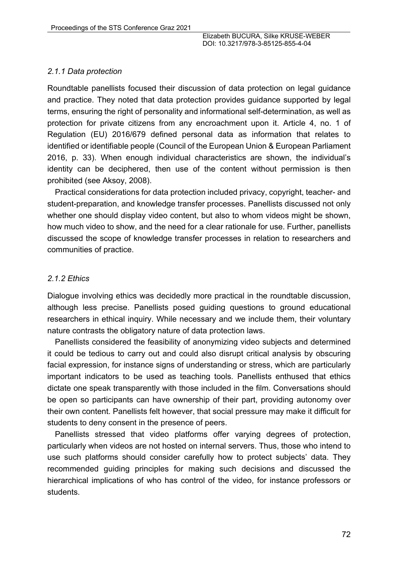### *2.1.1 Data protection*

Roundtable panellists focused their discussion of data protection on legal guidance and practice. They noted that data protection provides guidance supported by legal terms, ensuring the right of personality and informational self-determination, as well as protection for private citizens from any encroachment upon it. Article 4, no. 1 of Regulation (EU) 2016/679 defined personal data as information that relates to identified or identifiable people (Council of the European Union & European Parliament 2016, p. 33). When enough individual characteristics are shown, the individual's identity can be deciphered, then use of the content without permission is then prohibited (see Aksoy, 2008).

Practical considerations for data protection included privacy, copyright, teacher- and student-preparation, and knowledge transfer processes. Panellists discussed not only whether one should display video content, but also to whom videos might be shown, how much video to show, and the need for a clear rationale for use. Further, panellists discussed the scope of knowledge transfer processes in relation to researchers and communities of practice.

## *2.1.2 Ethics*

Dialogue involving ethics was decidedly more practical in the roundtable discussion, although less precise. Panellists posed guiding questions to ground educational researchers in ethical inquiry. While necessary and we include them, their voluntary nature contrasts the obligatory nature of data protection laws.

Panellists considered the feasibility of anonymizing video subjects and determined it could be tedious to carry out and could also disrupt critical analysis by obscuring facial expression, for instance signs of understanding or stress, which are particularly important indicators to be used as teaching tools. Panellists enthused that ethics dictate one speak transparently with those included in the film. Conversations should be open so participants can have ownership of their part, providing autonomy over their own content. Panellists felt however, that social pressure may make it difficult for students to deny consent in the presence of peers.

Panellists stressed that video platforms offer varying degrees of protection, particularly when videos are not hosted on internal servers. Thus, those who intend to use such platforms should consider carefully how to protect subjects' data. They recommended guiding principles for making such decisions and discussed the hierarchical implications of who has control of the video, for instance professors or students.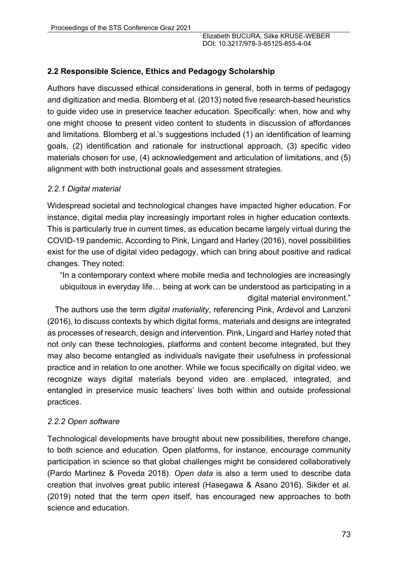## **2.2 Responsible Science, Ethics and Pedagogy Scholarship**

Authors have discussed ethical considerations in general, both in terms of pedagogy and digitization and media. Blomberg et al. (2013) noted five research-based heuristics to guide video use in preservice teacher education. Specifically: when, how and why one might choose to present video content to students in discussion of affordances and limitations. Blomberg et al.'s suggestions included (1) an identification of learning goals, (2) identification and rationale for instructional approach, (3) specific video materials chosen for use, (4) acknowledgement and articulation of limitations, and (5) alignment with both instructional goals and assessment strategies.

### *2.2.1 Digital material*

Widespread societal and technological changes have impacted higher education. For instance, digital media play increasingly important roles in higher education contexts. This is particularly true in current times, as education became largely virtual during the COVID-19 pandemic. According to Pink, Lingard and Harley (2016), novel possibilities exist for the use of digital video pedagogy, which can bring about positive and radical changes. They noted:

"In a contemporary context where mobile media and technologies are increasingly ubiquitous in everyday life… being at work can be understood as participating in a digital material environment."

The authors use the term *digital materiality*, referencing Pink, Ardevol and Lanzeni (2016), to discuss contexts by which digital forms, materials and designs are integrated as processes of research, design and intervention. Pink, Lingard and Harley noted that not only can these technologies, platforms and content become integrated, but they may also become entangled as individuals navigate their usefulness in professional practice and in relation to one another. While we focus specifically on digital video, we recognize ways digital materials beyond video are emplaced, integrated, and entangled in preservice music teachers' lives both within and outside professional practices.

### *2.2.2 Open software*

Technological developments have brought about new possibilities, therefore change, to both science and education. Open platforms, for instance, encourage community participation in science so that global challenges might be considered collaboratively (Pardo Martinez & Poveda 2018). *Open data* is also a term used to describe data creation that involves great public interest (Hasegawa & Asano 2016). Sikder et al. (2019) noted that the term *open* itself, has encouraged new approaches to both science and education.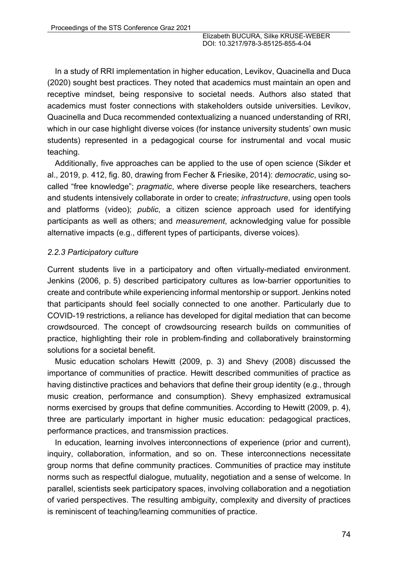In a study of RRI implementation in higher education, Levikov, Quacinella and Duca (2020) sought best practices. They noted that academics must maintain an open and receptive mindset, being responsive to societal needs. Authors also stated that academics must foster connections with stakeholders outside universities. Levikov, Quacinella and Duca recommended contextualizing a nuanced understanding of RRI, which in our case highlight diverse voices (for instance university students' own music students) represented in a pedagogical course for instrumental and vocal music teaching.

Additionally, five approaches can be applied to the use of open science (Sikder et al., 2019, p. 412, fig. 80, drawing from Fecher & Friesike, 2014): *democratic*, using socalled "free knowledge"; *pragmatic*, where diverse people like researchers, teachers and students intensively collaborate in order to create; *infrastructure*, using open tools and platforms (video); *public*, a citizen science approach used for identifying participants as well as others; and *measurement*, acknowledging value for possible alternative impacts (e.g., different types of participants, diverse voices).

#### *2.2.3 Participatory culture*

Current students live in a participatory and often virtually-mediated environment. Jenkins (2006, p. 5) described participatory cultures as low-barrier opportunities to create and contribute while experiencing informal mentorship or support. Jenkins noted that participants should feel socially connected to one another. Particularly due to COVID-19 restrictions, a reliance has developed for digital mediation that can become crowdsourced. The concept of crowdsourcing research builds on communities of practice, highlighting their role in problem-finding and collaboratively brainstorming solutions for a societal benefit.

Music education scholars Hewitt (2009, p. 3) and Shevy (2008) discussed the importance of communities of practice. Hewitt described communities of practice as having distinctive practices and behaviors that define their group identity (e.g., through music creation, performance and consumption). Shevy emphasized extramusical norms exercised by groups that define communities. According to Hewitt (2009, p. 4), three are particularly important in higher music education: pedagogical practices, performance practices, and transmission practices.

In education, learning involves interconnections of experience (prior and current), inquiry, collaboration, information, and so on. These interconnections necessitate group norms that define community practices. Communities of practice may institute norms such as respectful dialogue, mutuality, negotiation and a sense of welcome. In parallel, scientists seek participatory spaces, involving collaboration and a negotiation of varied perspectives. The resulting ambiguity, complexity and diversity of practices is reminiscent of teaching/learning communities of practice.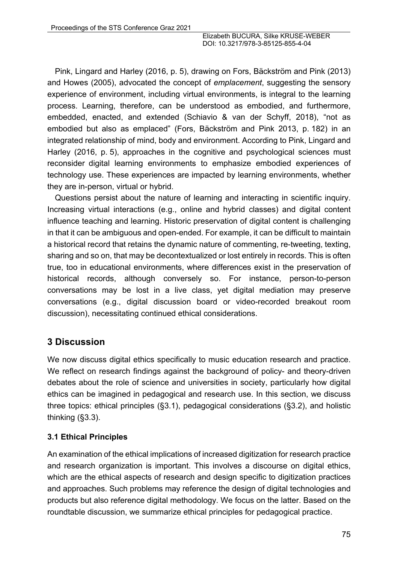Pink, Lingard and Harley (2016, p. 5), drawing on Fors, Bäckström and Pink (2013) and Howes (2005), advocated the concept of *emplacement*, suggesting the sensory experience of environment, including virtual environments, is integral to the learning process. Learning, therefore, can be understood as embodied, and furthermore, embedded, enacted, and extended (Schiavio & van der Schyff, 2018), "not as embodied but also as emplaced" (Fors, Bäckström and Pink 2013, p. 182) in an integrated relationship of mind, body and environment. According to Pink, Lingard and Harley (2016, p. 5), approaches in the cognitive and psychological sciences must reconsider digital learning environments to emphasize embodied experiences of technology use. These experiences are impacted by learning environments, whether they are in-person, virtual or hybrid.

Questions persist about the nature of learning and interacting in scientific inquiry. Increasing virtual interactions (e.g., online and hybrid classes) and digital content influence teaching and learning. Historic preservation of digital content is challenging in that it can be ambiguous and open-ended. For example, it can be difficult to maintain a historical record that retains the dynamic nature of commenting, re-tweeting, texting, sharing and so on, that may be decontextualized or lost entirely in records. This is often true, too in educational environments, where differences exist in the preservation of historical records, although conversely so. For instance, person-to-person conversations may be lost in a live class, yet digital mediation may preserve conversations (e.g., digital discussion board or video-recorded breakout room discussion), necessitating continued ethical considerations.

# **3 Discussion**

We now discuss digital ethics specifically to music education research and practice. We reflect on research findings against the background of policy- and theory-driven debates about the role of science and universities in society, particularly how digital ethics can be imagined in pedagogical and research use. In this section, we discuss three topics: ethical principles (§3.1), pedagogical considerations (§3.2), and holistic thinking (§3.3).

## **3.1 Ethical Principles**

An examination of the ethical implications of increased digitization for research practice and research organization is important. This involves a discourse on digital ethics, which are the ethical aspects of research and design specific to digitization practices and approaches. Such problems may reference the design of digital technologies and products but also reference digital methodology. We focus on the latter. Based on the roundtable discussion, we summarize ethical principles for pedagogical practice.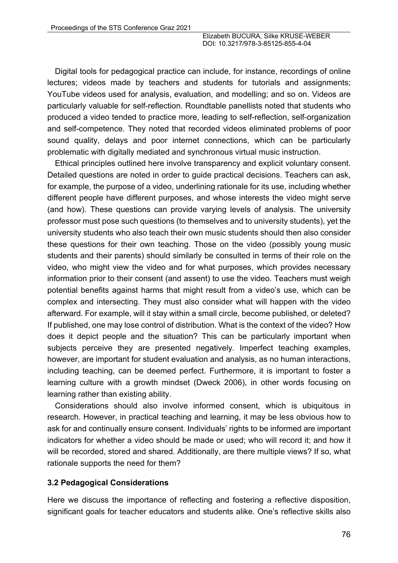Digital tools for pedagogical practice can include, for instance, recordings of online lectures; videos made by teachers and students for tutorials and assignments; YouTube videos used for analysis, evaluation, and modelling; and so on. Videos are particularly valuable for self-reflection. Roundtable panellists noted that students who produced a video tended to practice more, leading to self-reflection, self-organization and self-competence. They noted that recorded videos eliminated problems of poor sound quality, delays and poor internet connections, which can be particularly problematic with digitally mediated and synchronous virtual music instruction.

Ethical principles outlined here involve transparency and explicit voluntary consent. Detailed questions are noted in order to guide practical decisions. Teachers can ask, for example, the purpose of a video, underlining rationale for its use, including whether different people have different purposes, and whose interests the video might serve (and how). These questions can provide varying levels of analysis. The university professor must pose such questions (to themselves and to university students), yet the university students who also teach their own music students should then also consider these questions for their own teaching. Those on the video (possibly young music students and their parents) should similarly be consulted in terms of their role on the video, who might view the video and for what purposes, which provides necessary information prior to their consent (and assent) to use the video. Teachers must weigh potential benefits against harms that might result from a video's use, which can be complex and intersecting. They must also consider what will happen with the video afterward. For example, will it stay within a small circle, become published, or deleted? If published, one may lose control of distribution. What is the context of the video? How does it depict people and the situation? This can be particularly important when subjects perceive they are presented negatively. Imperfect teaching examples, however, are important for student evaluation and analysis, as no human interactions, including teaching, can be deemed perfect. Furthermore, it is important to foster a learning culture with a growth mindset (Dweck 2006), in other words focusing on learning rather than existing ability.

Considerations should also involve informed consent, which is ubiquitous in research. However, in practical teaching and learning, it may be less obvious how to ask for and continually ensure consent. Individuals' rights to be informed are important indicators for whether a video should be made or used; who will record it; and how it will be recorded, stored and shared. Additionally, are there multiple views? If so, what rationale supports the need for them?

### **3.2 Pedagogical Considerations**

Here we discuss the importance of reflecting and fostering a reflective disposition, significant goals for teacher educators and students alike. One's reflective skills also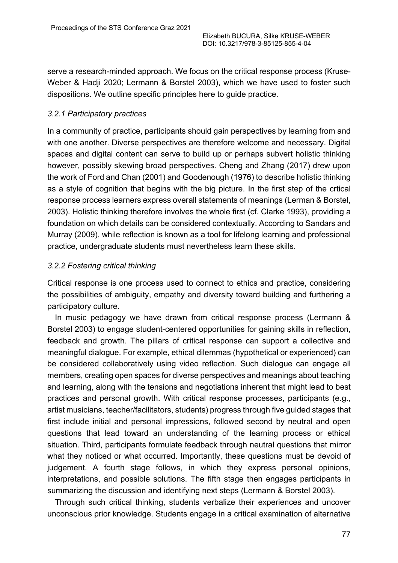serve a research-minded approach. We focus on the critical response process (Kruse-Weber & Hadji 2020; Lermann & Borstel 2003), which we have used to foster such dispositions. We outline specific principles here to guide practice.

## *3.2.1 Participatory practices*

In a community of practice, participants should gain perspectives by learning from and with one another. Diverse perspectives are therefore welcome and necessary. Digital spaces and digital content can serve to build up or perhaps subvert holistic thinking however, possibly skewing broad perspectives. Cheng and Zhang (2017) drew upon the work of Ford and Chan (2001) and Goodenough (1976) to describe holistic thinking as a style of cognition that begins with the big picture. In the first step of the crtical response process learners express overall statements of meanings (Lerman & Borstel, 2003). Holistic thinking therefore involves the whole first (cf. Clarke 1993), providing a foundation on which details can be considered contextually. According to Sandars and Murray (2009), while reflection is known as a tool for lifelong learning and professional practice, undergraduate students must nevertheless learn these skills.

## *3.2.2 Fostering critical thinking*

Critical response is one process used to connect to ethics and practice, considering the possibilities of ambiguity, empathy and diversity toward building and furthering a participatory culture.

In music pedagogy we have drawn from critical response process (Lermann & Borstel 2003) to engage student-centered opportunities for gaining skills in reflection, feedback and growth. The pillars of critical response can support a collective and meaningful dialogue. For example, ethical dilemmas (hypothetical or experienced) can be considered collaboratively using video reflection. Such dialogue can engage all members, creating open spaces for diverse perspectives and meanings about teaching and learning, along with the tensions and negotiations inherent that might lead to best practices and personal growth. With critical response processes, participants (e.g., artist musicians, teacher/facilitators, students) progress through five guided stages that first include initial and personal impressions, followed second by neutral and open questions that lead toward an understanding of the learning process or ethical situation. Third, participants formulate feedback through neutral questions that mirror what they noticed or what occurred. Importantly, these questions must be devoid of judgement. A fourth stage follows, in which they express personal opinions, interpretations, and possible solutions. The fifth stage then engages participants in summarizing the discussion and identifying next steps (Lermann & Borstel 2003).

Through such critical thinking, students verbalize their experiences and uncover unconscious prior knowledge. Students engage in a critical examination of alternative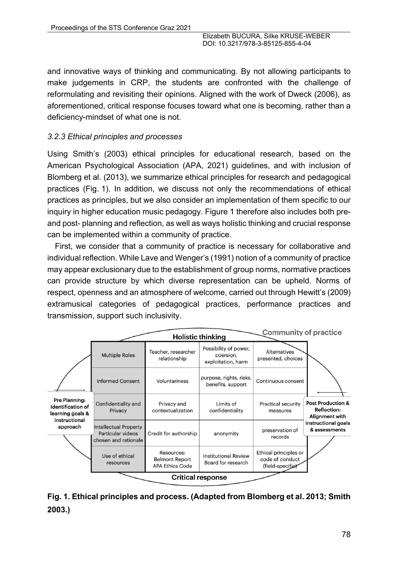and innovative ways of thinking and communicating. By not allowing participants to make judgements in CRP, the students are confronted with the challenge of reformulating and revisiting their opinions. Aligned with the work of Dweck (2006), as aforementioned, critical response focuses toward what one is becoming, rather than a deficiency-mindset of what one is not.

## *3.2.3 Ethical principles and processes*

Using Smith's (2003) ethical principles for educational research, based on the American Psychological Association (APA, 2021) guidelines, and with inclusion of Blomberg et al. (2013), we summarize ethical principles for research and pedagogical practices (Fig. 1). In addition, we discuss not only the recommendations of ethical practices as principles, but we also consider an implementation of them specific to our inquiry in higher education music pedagogy. Figure 1 therefore also includes both preand post- planning and reflection, as well as ways holistic thinking and crucial response can be implemented within a community of practice.

First, we consider that a community of practice is necessary for collaborative and individual reflection. While Lave and Wenger's (1991) notion of a community of practice may appear exclusionary due to the establishment of group norms, normative practices can provide structure by which diverse representation can be upheld. Norms of respect, openness and an atmosphere of welcome, carried out through Hewitt's (2009) extramusical categories of pedagogical practices, performance practices and transmission, support such inclusivity.

| <b>Community of practice</b><br><b>Holistic thinking</b>                       |                                                                           |                                                               |                                                          |                                                              |                                                                      |
|--------------------------------------------------------------------------------|---------------------------------------------------------------------------|---------------------------------------------------------------|----------------------------------------------------------|--------------------------------------------------------------|----------------------------------------------------------------------|
|                                                                                | <b>Multiple Roles</b>                                                     | Teacher, researcher<br>relationship                           | Possibility of power,<br>coersion,<br>exploitation, harm | <b>Alternatives</b><br>presented, choices                    |                                                                      |
|                                                                                | <b>Informed Consent</b>                                                   | Voluntariness                                                 | purpose, rights, risks,<br>benefits, support             | Continuous consent                                           |                                                                      |
| Pre Planning:<br><b>Identification of</b><br>learning goals &<br>instructional | Confidentiality and<br>Privacy                                            | Privacy and<br>contextualization                              | Limits of<br>confidentiality                             | <b>Practical security</b><br>measures                        | <b>Post Production &amp;</b><br><b>Reflection:</b><br>Alignment with |
| approach                                                                       | <b>Intellectual Property</b><br>Particular videos<br>chosen and rationale | Credit for authorship                                         | anonymity                                                | preservation of<br>records                                   | instructional goals<br>& assessments                                 |
|                                                                                | Use of ethical<br>resources                                               | Resources:<br><b>Belmont Report</b><br><b>APA Ethics Code</b> | <b>Institutional Review</b><br>Board for research        | Ethical principles or<br>code of conduct<br>(field-specific) |                                                                      |
| <b>Critical response</b>                                                       |                                                                           |                                                               |                                                          |                                                              |                                                                      |

**Fig. 1. Ethical principles and process. (Adapted from Blomberg et al. 2013; Smith 2003.)**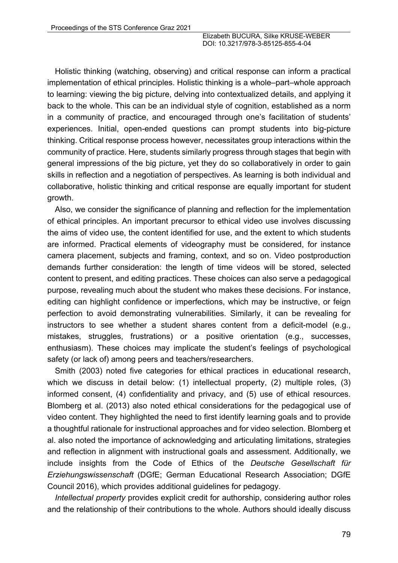Holistic thinking (watching, observing) and critical response can inform a practical implementation of ethical principles. Holistic thinking is a whole–part–whole approach to learning: viewing the big picture, delving into contextualized details, and applying it back to the whole. This can be an individual style of cognition, established as a norm in a community of practice, and encouraged through one's facilitation of students' experiences. Initial, open-ended questions can prompt students into big-picture thinking. Critical response process however, necessitates group interactions within the community of practice. Here, students similarly progress through stages that begin with general impressions of the big picture, yet they do so collaboratively in order to gain skills in reflection and a negotiation of perspectives. As learning is both individual and collaborative, holistic thinking and critical response are equally important for student growth.

Also, we consider the significance of planning and reflection for the implementation of ethical principles. An important precursor to ethical video use involves discussing the aims of video use, the content identified for use, and the extent to which students are informed. Practical elements of videography must be considered, for instance camera placement, subjects and framing, context, and so on. Video postproduction demands further consideration: the length of time videos will be stored, selected content to present, and editing practices. These choices can also serve a pedagogical purpose, revealing much about the student who makes these decisions. For instance, editing can highlight confidence or imperfections, which may be instructive, or feign perfection to avoid demonstrating vulnerabilities. Similarly, it can be revealing for instructors to see whether a student shares content from a deficit-model (e.g., mistakes, struggles, frustrations) or a positive orientation (e.g., successes, enthusiasm). These choices may implicate the student's feelings of psychological safety (or lack of) among peers and teachers/researchers.

Smith (2003) noted five categories for ethical practices in educational research, which we discuss in detail below: (1) intellectual property, (2) multiple roles, (3) informed consent, (4) confidentiality and privacy, and (5) use of ethical resources. Blomberg et al. (2013) also noted ethical considerations for the pedagogical use of video content. They highlighted the need to first identify learning goals and to provide a thoughtful rationale for instructional approaches and for video selection. Blomberg et al. also noted the importance of acknowledging and articulating limitations, strategies and reflection in alignment with instructional goals and assessment. Additionally, we include insights from the Code of Ethics of the *Deutsche Gesellschaft für Erziehungswissenschaft* (DGfE; German Educational Research Association; DGfE Council 2016), which provides additional guidelines for pedagogy.

*Intellectual property* provides explicit credit for authorship, considering author roles and the relationship of their contributions to the whole. Authors should ideally discuss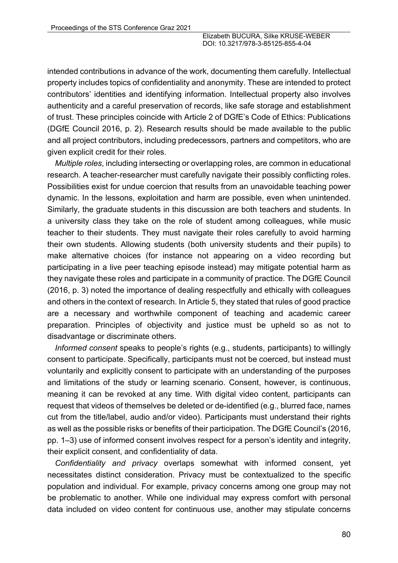intended contributions in advance of the work, documenting them carefully. Intellectual property includes topics of confidentiality and anonymity. These are intended to protect contributors' identities and identifying information. Intellectual property also involves authenticity and a careful preservation of records, like safe storage and establishment of trust. These principles coincide with Article 2 of DGfE's Code of Ethics: Publications (DGfE Council 2016, p. 2). Research results should be made available to the public and all project contributors, including predecessors, partners and competitors, who are given explicit credit for their roles.

*Multiple roles*, including intersecting or overlapping roles, are common in educational research. A teacher-researcher must carefully navigate their possibly conflicting roles. Possibilities exist for undue coercion that results from an unavoidable teaching power dynamic. In the lessons, exploitation and harm are possible, even when unintended. Similarly, the graduate students in this discussion are both teachers and students. In a university class they take on the role of student among colleagues, while music teacher to their students. They must navigate their roles carefully to avoid harming their own students. Allowing students (both university students and their pupils) to make alternative choices (for instance not appearing on a video recording but participating in a live peer teaching episode instead) may mitigate potential harm as they navigate these roles and participate in a community of practice. The DGfE Council (2016, p. 3) noted the importance of dealing respectfully and ethically with colleagues and others in the context of research. In Article 5, they stated that rules of good practice are a necessary and worthwhile component of teaching and academic career preparation. Principles of objectivity and justice must be upheld so as not to disadvantage or discriminate others.

*Informed consent* speaks to people's rights (e.g., students, participants) to willingly consent to participate. Specifically, participants must not be coerced, but instead must voluntarily and explicitly consent to participate with an understanding of the purposes and limitations of the study or learning scenario. Consent, however, is continuous, meaning it can be revoked at any time. With digital video content, participants can request that videos of themselves be deleted or de-identified (e.g., blurred face, names cut from the title/label, audio and/or video). Participants must understand their rights as well as the possible risks or benefits of their participation. The DGfE Council's (2016, pp. 1–3) use of informed consent involves respect for a person's identity and integrity, their explicit consent, and confidentiality of data.

*Confidentiality and privacy* overlaps somewhat with informed consent, yet necessitates distinct consideration. Privacy must be contextualized to the specific population and individual. For example, privacy concerns among one group may not be problematic to another. While one individual may express comfort with personal data included on video content for continuous use, another may stipulate concerns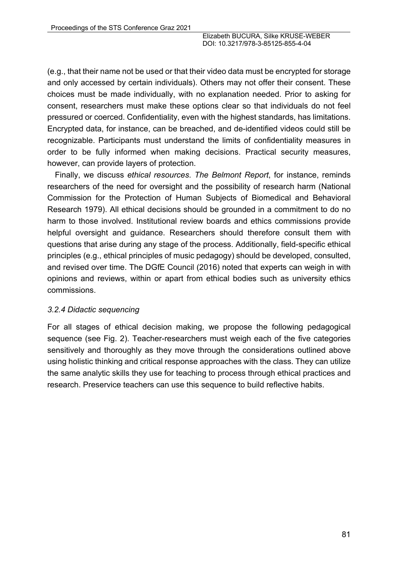(e.g., that their name not be used or that their video data must be encrypted for storage and only accessed by certain individuals). Others may not offer their consent. These choices must be made individually, with no explanation needed. Prior to asking for consent, researchers must make these options clear so that individuals do not feel pressured or coerced. Confidentiality, even with the highest standards, has limitations. Encrypted data, for instance, can be breached, and de-identified videos could still be recognizable. Participants must understand the limits of confidentiality measures in order to be fully informed when making decisions. Practical security measures, however, can provide layers of protection.

Finally, we discuss *ethical resources*. *The Belmont Report*, for instance, reminds researchers of the need for oversight and the possibility of research harm (National Commission for the Protection of Human Subjects of Biomedical and Behavioral Research 1979). All ethical decisions should be grounded in a commitment to do no harm to those involved. Institutional review boards and ethics commissions provide helpful oversight and guidance. Researchers should therefore consult them with questions that arise during any stage of the process. Additionally, field-specific ethical principles (e.g., ethical principles of music pedagogy) should be developed, consulted, and revised over time. The DGfE Council (2016) noted that experts can weigh in with opinions and reviews, within or apart from ethical bodies such as university ethics commissions.

### *3.2.4 Didactic sequencing*

For all stages of ethical decision making, we propose the following pedagogical sequence (see Fig. 2). Teacher-researchers must weigh each of the five categories sensitively and thoroughly as they move through the considerations outlined above using holistic thinking and critical response approaches with the class. They can utilize the same analytic skills they use for teaching to process through ethical practices and research. Preservice teachers can use this sequence to build reflective habits.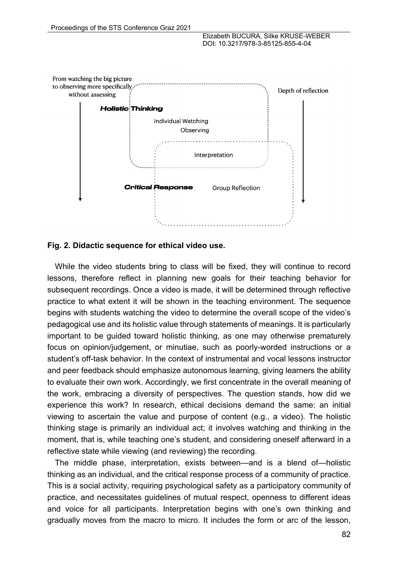

#### **Fig. 2. Didactic sequence for ethical video use.**

While the video students bring to class will be fixed, they will continue to record lessons, therefore reflect in planning new goals for their teaching behavior for subsequent recordings. Once a video is made, it will be determined through reflective practice to what extent it will be shown in the teaching environment. The sequence begins with students watching the video to determine the overall scope of the video's pedagogical use and its holistic value through statements of meanings. It is particularly important to be guided toward holistic thinking, as one may otherwise prematurely focus on opinion/judgement, or minutiae, such as poorly-worded instructions or a student's off-task behavior. In the context of instrumental and vocal lessons instructor and peer feedback should emphasize autonomous learning, giving learners the ability to evaluate their own work. Accordingly, we first concentrate in the overall meaning of the work, embracing a diversity of perspectives. The question stands, how did we experience this work? In research, ethical decisions demand the same: an initial viewing to ascertain the value and purpose of content (e.g., a video). The holistic thinking stage is primarily an individual act; it involves watching and thinking in the moment, that is, while teaching one's student, and considering oneself afterward in a reflective state while viewing (and reviewing) the recording.

The middle phase, interpretation, exists between—and is a blend of—holistic thinking as an individual, and the critical response process of a community of practice. This is a social activity, requiring psychological safety as a participatory community of practice, and necessitates guidelines of mutual respect, openness to different ideas and voice for all participants. Interpretation begins with one's own thinking and gradually moves from the macro to micro. It includes the form or arc of the lesson,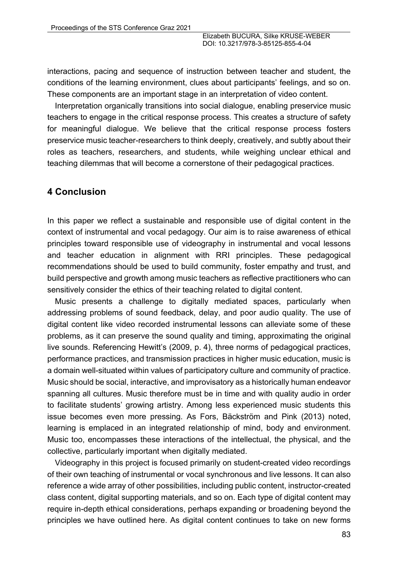interactions, pacing and sequence of instruction between teacher and student, the conditions of the learning environment, clues about participants' feelings, and so on. These components are an important stage in an interpretation of video content.

Interpretation organically transitions into social dialogue, enabling preservice music teachers to engage in the critical response process. This creates a structure of safety for meaningful dialogue. We believe that the critical response process fosters preservice music teacher-researchers to think deeply, creatively, and subtly about their roles as teachers, researchers, and students, while weighing unclear ethical and teaching dilemmas that will become a cornerstone of their pedagogical practices.

#### **4 Conclusion**

In this paper we reflect a sustainable and responsible use of digital content in the context of instrumental and vocal pedagogy. Our aim is to raise awareness of ethical principles toward responsible use of videography in instrumental and vocal lessons and teacher education in alignment with RRI principles. These pedagogical recommendations should be used to build community, foster empathy and trust, and build perspective and growth among music teachers as reflective practitioners who can sensitively consider the ethics of their teaching related to digital content.

Music presents a challenge to digitally mediated spaces, particularly when addressing problems of sound feedback, delay, and poor audio quality. The use of digital content like video recorded instrumental lessons can alleviate some of these problems, as it can preserve the sound quality and timing, approximating the original live sounds. Referencing Hewitt's (2009, p. 4), three norms of pedagogical practices, performance practices, and transmission practices in higher music education, music is a domain well-situated within values of participatory culture and community of practice. Music should be social, interactive, and improvisatory as a historically human endeavor spanning all cultures. Music therefore must be in time and with quality audio in order to facilitate students' growing artistry. Among less experienced music students this issue becomes even more pressing. As Fors, Bäckström and Pink (2013) noted, learning is emplaced in an integrated relationship of mind, body and environment. Music too, encompasses these interactions of the intellectual, the physical, and the collective, particularly important when digitally mediated.

Videography in this project is focused primarily on student-created video recordings of their own teaching of instrumental or vocal synchronous and live lessons. It can also reference a wide array of other possibilities, including public content, instructor-created class content, digital supporting materials, and so on. Each type of digital content may require in-depth ethical considerations, perhaps expanding or broadening beyond the principles we have outlined here. As digital content continues to take on new forms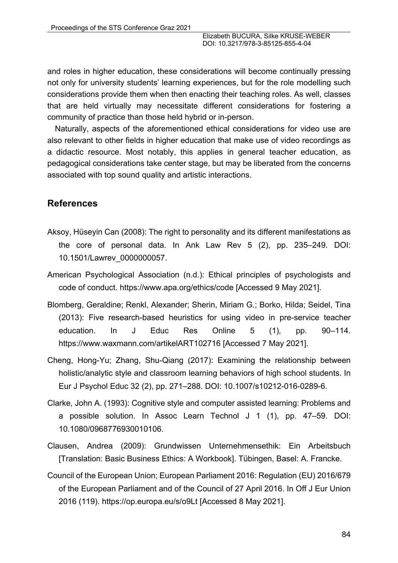and roles in higher education, these considerations will become continually pressing not only for university students' learning experiences, but for the role modelling such considerations provide them when then enacting their teaching roles. As well, classes that are held virtually may necessitate different considerations for fostering a community of practice than those held hybrid or in-person.

Naturally, aspects of the aforementioned ethical considerations for video use are also relevant to other fields in higher education that make use of video recordings as a didactic resource. Most notably, this applies in general teacher education, as pedagogical considerations take center stage, but may be liberated from the concerns associated with top sound quality and artistic interactions.

### **References**

- Aksoy, Hüseyin Can (2008): The right to personality and its different manifestations as the core of personal data. In Ank Law Rev 5 (2), pp. 235–249. DOI: 10.1501/Lawrev\_0000000057.
- American Psychological Association (n.d.): Ethical principles of psychologists and code of conduct. https://www.apa.org/ethics/code [Accessed 9 May 2021].
- Blomberg, Geraldine; Renkl, Alexander; Sherin, Miriam G.; Borko, Hilda; Seidel, Tina (2013): Five research-based heuristics for using video in pre-service teacher education. In J Educ Res Online 5 (1)*,* pp. 90–114. https://www.waxmann.com/artikelART102716 [Accessed 7 May 2021].
- Cheng, Hong-Yu; Zhang, Shu-Qiang (2017): Examining the relationship between holistic/analytic style and classroom learning behaviors of high school students. In Eur J Psychol Educ 32 (2), pp. 271–288. DOI: 10.1007/s10212-016-0289-6.
- Clarke, John A. (1993): Cognitive style and computer assisted learning: Problems and a possible solution. In Assoc Learn Technol J 1 (1), pp. 47–59. DOI: 10.1080/0968776930010106.
- Clausen, Andrea (2009): Grundwissen Unternehmensethik: Ein Arbeitsbuch [Translation: Basic Business Ethics: A Workbook]. Tübingen, Basel: A. Francke.
- Council of the European Union; European Parliament 2016: Regulation (EU) 2016/679 of the European Parliament and of the Council of 27 April 2016. In Off J Eur Union 2016 (119). https://op.europa.eu/s/o9Lt [Accessed 8 May 2021].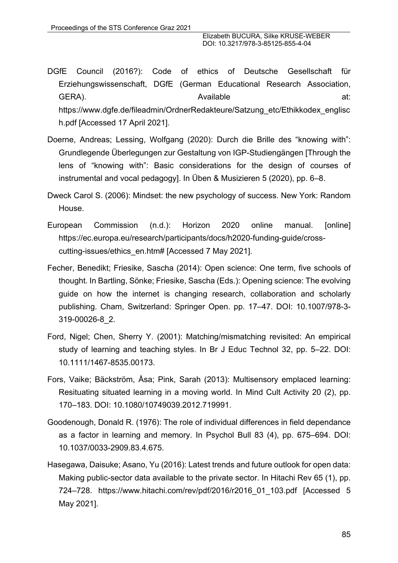- DGfE Council (2016?): Code of ethics of Deutsche Gesellschaft für Erziehungswissenschaft, DGfE (German Educational Research Association, GERA). CHECK CHECK Available at: Available at: https://www.dgfe.de/fileadmin/OrdnerRedakteure/Satzung\_etc/Ethikkodex\_englisc h.pdf [Accessed 17 April 2021].
- Doerne, Andreas; Lessing, Wolfgang (2020): Durch die Brille des "knowing with": Grundlegende Überlegungen zur Gestaltung von IGP-Studiengängen [Through the lens of "knowing with": Basic considerations for the design of courses of instrumental and vocal pedagogy]. In Üben & Musizieren 5 (2020), pp. 6–8.
- Dweck Carol S. (2006): Mindset: the new psychology of success. New York: Random House.
- European Commission (n.d.): Horizon 2020 online manual. [online] https://ec.europa.eu/research/participants/docs/h2020-funding-guide/crosscutting-issues/ethics\_en.htm# [Accessed 7 May 2021].
- Fecher, Benedikt; Friesike, Sascha (2014): Open science: One term, five schools of thought. In Bartling, Sönke; Friesike, Sascha (Eds.): Opening science: The evolving guide on how the internet is changing research, collaboration and scholarly publishing. Cham, Switzerland: Springer Open. pp. 17–47. DOI: 10.1007/978-3- 319-00026-8\_2.
- Ford, Nigel; Chen, Sherry Y. (2001): Matching/mismatching revisited: An empirical study of learning and teaching styles. In Br J Educ Technol 32, pp. 5–22. DOI: 10.1111/1467-8535.00173.
- Fors, Vaike; Bäckström, Åsa; Pink, Sarah (2013): Multisensory emplaced learning: Resituating situated learning in a moving world. In Mind Cult Activity 20 (2), pp. 170–183. DOI: 10.1080/10749039.2012.719991.
- Goodenough, Donald R. (1976): The role of individual differences in field dependance as a factor in learning and memory. In Psychol Bull 83 (4), pp. 675–694. DOI: 10.1037/0033-2909.83.4.675.
- Hasegawa, Daisuke; Asano, Yu (2016): Latest trends and future outlook for open data: Making public-sector data available to the private sector. In Hitachi Rev 65 (1), pp. 724–728. https://www.hitachi.com/rev/pdf/2016/r2016\_01\_103.pdf [Accessed 5 May 2021].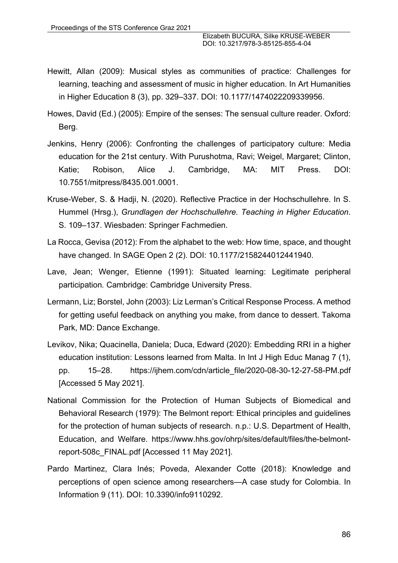- Hewitt, Allan (2009): Musical styles as communities of practice: Challenges for learning, teaching and assessment of music in higher education. In Art Humanities in Higher Education 8 (3), pp. 329–337. DOI: 10.1177/1474022209339956.
- Howes, David (Ed.) (2005): Empire of the senses: The sensual culture reader. Oxford: Berg.
- Jenkins, Henry (2006): Confronting the challenges of participatory culture: Media education for the 21st century. With Purushotma, Ravi; Weigel, Margaret; Clinton, Katie; Robison, Alice J. Cambridge, MA: MIT Press. DOI: 10.7551/mitpress/8435.001.0001.
- Kruse-Weber, S. & Hadji, N. (2020). Reflective Practice in der Hochschullehre. In S. Hummel (Hrsg.), *Grundlagen der Hochschullehre. Teaching in Higher Education*. S. 109–137. Wiesbaden: Springer Fachmedien.
- La Rocca, Gevisa (2012): From the alphabet to the web: How time, space, and thought have changed. In SAGE Open 2 (2). DOI: 10.1177/2158244012441940.
- Lave, Jean; Wenger, Etienne (1991): Situated learning: Legitimate peripheral participation*.* Cambridge: Cambridge University Press.
- Lermann, Liz; Borstel, John (2003): Liz Lerman's Critical Response Process. A method for getting useful feedback on anything you make, from dance to dessert. Takoma Park, MD: Dance Exchange.
- Levikov, Nika; Quacinella, Daniela; Duca, Edward (2020): Embedding RRI in a higher education institution: Lessons learned from Malta. In Int J High Educ Manag 7 (1), pp. 15–28. https://ijhem.com/cdn/article\_file/2020-08-30-12-27-58-PM.pdf [Accessed 5 May 2021].
- National Commission for the Protection of Human Subjects of Biomedical and Behavioral Research (1979): The Belmont report: Ethical principles and guidelines for the protection of human subjects of research. n.p.: U.S. Department of Health, Education, and Welfare. https://www.hhs.gov/ohrp/sites/default/files/the-belmontreport-508c\_FINAL.pdf [Accessed 11 May 2021].
- Pardo Martinez, Clara Inés; Poveda, Alexander Cotte (2018): Knowledge and perceptions of open science among researchers—A case study for Colombia. In Information 9 (11). DOI: 10.3390/info9110292.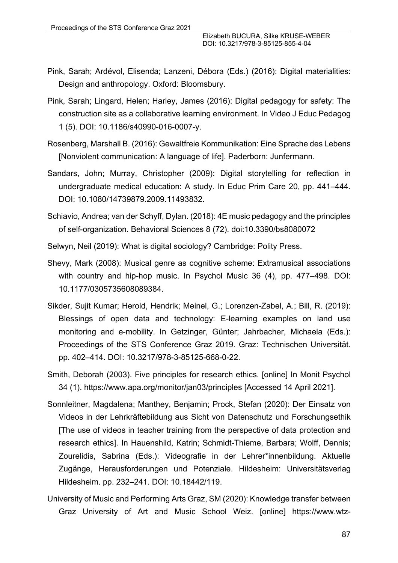- Pink, Sarah; Ardévol, Elisenda; Lanzeni, Débora (Eds.) (2016): Digital materialities: Design and anthropology. Oxford: Bloomsbury.
- Pink, Sarah; Lingard, Helen; Harley, James (2016): Digital pedagogy for safety: The construction site as a collaborative learning environment. In Video J Educ Pedagog 1 (5). DOI: 10.1186/s40990-016-0007-y.
- Rosenberg, Marshall B. (2016): Gewaltfreie Kommunikation: Eine Sprache des Lebens [Nonviolent communication: A language of life]. Paderborn: Junfermann.
- Sandars, John; Murray, Christopher (2009): Digital storytelling for reflection in undergraduate medical education: A study. In Educ Prim Care 20, pp. 441–444. DOI: 10.1080/14739879.2009.11493832.
- Schiavio, Andrea; van der Schyff, Dylan. (2018): 4E music pedagogy and the principles of self-organization. Behavioral Sciences 8 (72). doi:10.3390/bs8080072
- Selwyn, Neil (2019): What is digital sociology? Cambridge: Polity Press.
- Shevy, Mark (2008): Musical genre as cognitive scheme: Extramusical associations with country and hip-hop music. In Psychol Music 36 (4), pp. 477–498. DOI: 10.1177/0305735608089384.
- Sikder, Sujit Kumar; Herold, Hendrik; Meinel, G.; Lorenzen-Zabel, A.; Bill, R. (2019): Blessings of open data and technology: E-learning examples on land use monitoring and e-mobility. In Getzinger, Günter; Jahrbacher, Michaela (Eds.): Proceedings of the STS Conference Graz 2019. Graz: Technischen Universität. pp. 402–414. DOI: 10.3217/978-3-85125-668-0-22.
- Smith, Deborah (2003). Five principles for research ethics. [online] In Monit Psychol 34 (1). https://www.apa.org/monitor/jan03/principles [Accessed 14 April 2021].
- Sonnleitner, Magdalena; Manthey, Benjamin; Prock, Stefan (2020): Der Einsatz von Videos in der Lehrkräftebildung aus Sicht von Datenschutz und Forschungsethik [The use of videos in teacher training from the perspective of data protection and research ethics]. In Hauenshild, Katrin; Schmidt-Thieme, Barbara; Wolff, Dennis; Zourelidis, Sabrina (Eds.): Videografie in der Lehrer\*innenbildung. Aktuelle Zugänge, Herausforderungen und Potenziale. Hildesheim: Universitätsverlag Hildesheim. pp. 232–241. DOI: 10.18442/119.
- University of Music and Performing Arts Graz, SM (2020): Knowledge transfer between Graz University of Art and Music School Weiz. [online] https://www.wtz-